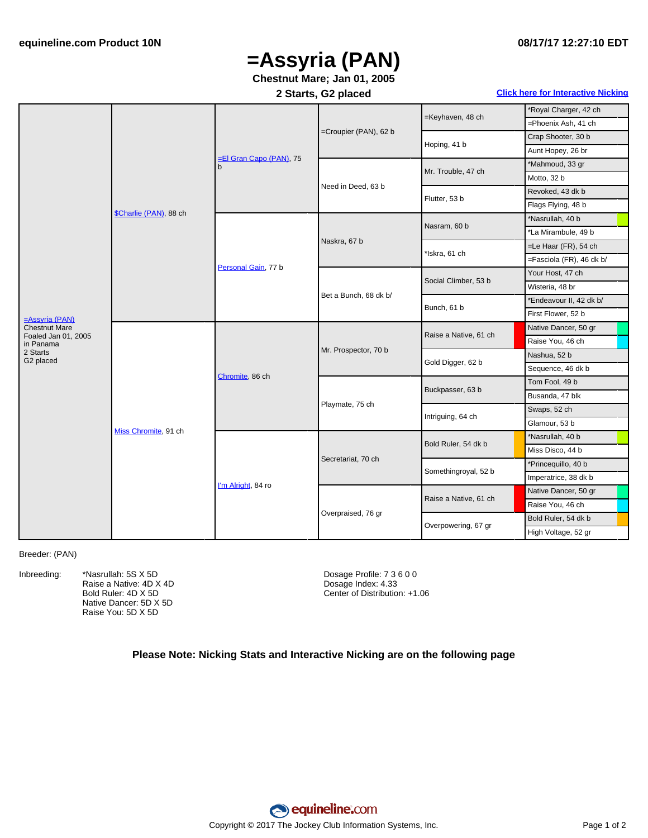# **=Assyria (PAN)**

## **Chestnut Mare; Jan 01, 2005**

### **2 Starts, G2 placed Click here for [Interactive](#page-1-0) Nicking**

|                                             | \$Charlie (PAN), 88 ch | El Gran Capo (PAN), 75<br>b | =Croupier (PAN), 62 b | =Keyhaven, 48 ch      | *Royal Charger, 42 ch    |
|---------------------------------------------|------------------------|-----------------------------|-----------------------|-----------------------|--------------------------|
|                                             |                        |                             |                       |                       | =Phoenix Ash, 41 ch      |
|                                             |                        |                             |                       | Hoping, 41 b          | Crap Shooter, 30 b       |
|                                             |                        |                             |                       |                       | Aunt Hopey, 26 br        |
|                                             |                        |                             | Need in Deed, 63 b    | Mr. Trouble, 47 ch    | *Mahmoud, 33 gr          |
|                                             |                        |                             |                       |                       | Motto, 32 b              |
|                                             |                        |                             |                       | Flutter, 53 b         | Revoked, 43 dk b         |
|                                             |                        |                             |                       |                       | Flags Flying, 48 b       |
|                                             |                        | Personal Gain, 77 b         | Naskra, 67 b          | Nasram, 60 b          | *Nasrullah, 40 b         |
|                                             |                        |                             |                       |                       | *La Mirambule, 49 b      |
|                                             |                        |                             |                       | *Iskra, 61 ch         | $=$ Le Haar (FR), 54 ch  |
|                                             |                        |                             |                       |                       | =Fasciola (FR), 46 dk b/ |
|                                             |                        |                             | Bet a Bunch, 68 dk b/ | Social Climber, 53 b  | Your Host, 47 ch         |
|                                             |                        |                             |                       |                       | Wisteria, 48 br          |
|                                             |                        |                             |                       | Bunch, 61 b           | *Endeavour II, 42 dk b/  |
| $=$ Assyria (PAN)                           |                        |                             |                       |                       | First Flower, 52 b       |
| <b>Chestnut Mare</b><br>Foaled Jan 01, 2005 | Miss Chromite, 91 ch   | Chromite, 86 ch             | Mr. Prospector, 70 b  | Raise a Native, 61 ch | Native Dancer, 50 gr     |
| in Panama                                   |                        |                             |                       |                       | Raise You, 46 ch         |
| 2 Starts<br>G2 placed                       |                        |                             |                       | Gold Digger, 62 b     | Nashua, 52 b             |
|                                             |                        |                             |                       |                       | Sequence, 46 dk b        |
|                                             |                        |                             | Playmate, 75 ch       | Buckpasser, 63 b      | Tom Fool, 49 b           |
|                                             |                        |                             |                       |                       | Busanda, 47 blk          |
|                                             |                        |                             |                       | Intriguing, 64 ch     | Swaps, 52 ch             |
|                                             |                        |                             |                       |                       | Glamour, 53 b            |
|                                             |                        | I'm Alright, 84 ro          | Secretariat, 70 ch    | Bold Ruler, 54 dk b   | *Nasrullah, 40 b         |
|                                             |                        |                             |                       |                       | Miss Disco, 44 b         |
|                                             |                        |                             |                       | Somethingroyal, 52 b  | *Princequillo, 40 b      |
|                                             |                        |                             |                       |                       | Imperatrice, 38 dk b     |
|                                             |                        |                             | Overpraised, 76 gr    | Raise a Native, 61 ch | Native Dancer, 50 gr     |
|                                             |                        |                             |                       |                       | Raise You, 46 ch         |
|                                             |                        |                             |                       | Overpowering, 67 gr   | Bold Ruler, 54 dk b      |
|                                             |                        |                             |                       |                       | High Voltage, 52 gr      |

#### Breeder: (PAN)

Inbreeding: \*Nasrullah: 5S X 5D Raise a Native: 4D X 4D Bold Ruler: 4D X 5D Native Dancer: 5D X 5D Raise You: 5D X 5D

Dosage Profile: 7 3 6 0 0 Dosage Index: 4.33 Center of Distribution: +1.06

### **Please Note: Nicking Stats and Interactive Nicking are on the following page**